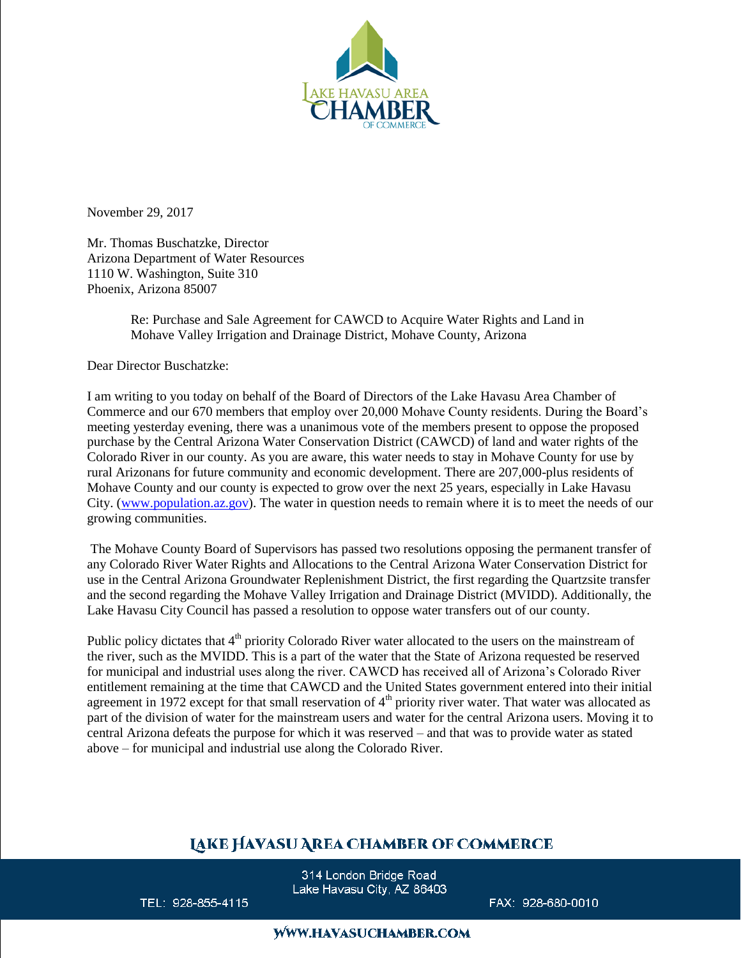

November 29, 2017

Mr. Thomas Buschatzke, Director Arizona Department of Water Resources 1110 W. Washington, Suite 310 Phoenix, Arizona 85007

> Re: Purchase and Sale Agreement for CAWCD to Acquire Water Rights and Land in Mohave Valley Irrigation and Drainage District, Mohave County, Arizona

Dear Director Buschatzke:

I am writing to you today on behalf of the Board of Directors of the Lake Havasu Area Chamber of Commerce and our 670 members that employ over 20,000 Mohave County residents. During the Board's meeting yesterday evening, there was a unanimous vote of the members present to oppose the proposed purchase by the Central Arizona Water Conservation District (CAWCD) of land and water rights of the Colorado River in our county. As you are aware, this water needs to stay in Mohave County for use by rural Arizonans for future community and economic development. There are 207,000-plus residents of Mohave County and our county is expected to grow over the next 25 years, especially in Lake Havasu City. [\(www.population.az.gov\)](http://www.population.az.gov/). The water in question needs to remain where it is to meet the needs of our growing communities.

The Mohave County Board of Supervisors has passed two resolutions opposing the permanent transfer of any Colorado River Water Rights and Allocations to the Central Arizona Water Conservation District for use in the Central Arizona Groundwater Replenishment District, the first regarding the Quartzsite transfer and the second regarding the Mohave Valley Irrigation and Drainage District (MVIDD). Additionally, the Lake Havasu City Council has passed a resolution to oppose water transfers out of our county.

Public policy dictates that 4<sup>th</sup> priority Colorado River water allocated to the users on the mainstream of the river, such as the MVIDD. This is a part of the water that the State of Arizona requested be reserved for municipal and industrial uses along the river. CAWCD has received all of Arizona's Colorado River entitlement remaining at the time that CAWCD and the United States government entered into their initial agreement in 1972 except for that small reservation of  $4<sup>th</sup>$  priority river water. That water was allocated as part of the division of water for the mainstream users and water for the central Arizona users. Moving it to central Arizona defeats the purpose for which it was reserved – and that was to provide water as stated above – for municipal and industrial use along the Colorado River.

## **LAKE HAVASU AREA CHAMBER OF COMMERCE**

314 London Bridge Road Lake Havasu City, AZ 86403

TEL: 928-855-4115

FAX: 928-680-0010

## **WWW.HAVASUCHAMBER.COM**